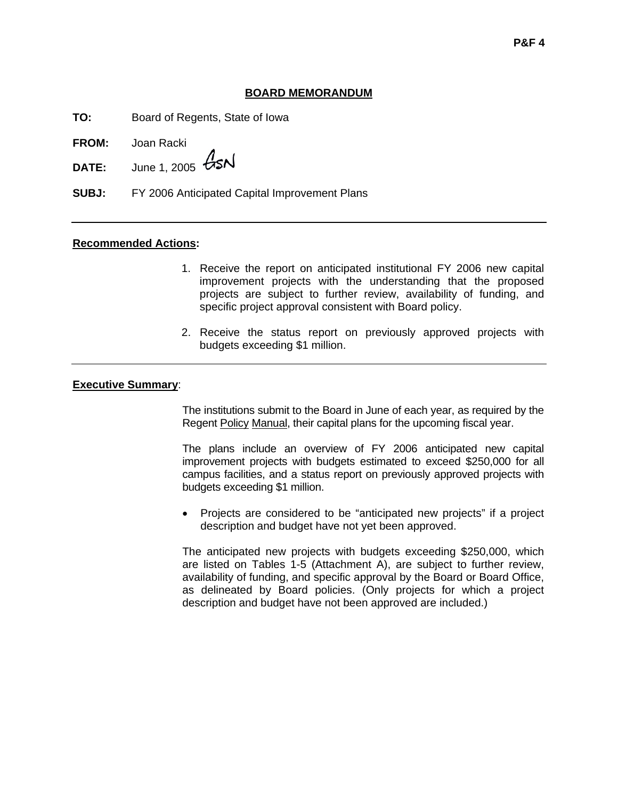#### **P&F 4**

## **BOARD MEMORANDUM**

| TO: | Board of Regents, State of Iowa |
|-----|---------------------------------|
|-----|---------------------------------|

**FROM:** Joan Racki

**DATE:** June 1, 2005  $\cancel{G}$ SN

**SUBJ:** FY 2006 Anticipated Capital Improvement Plans

## **Recommended Actions:**

- 1. Receive the report on anticipated institutional FY 2006 new capital improvement projects with the understanding that the proposed projects are subject to further review, availability of funding, and specific project approval consistent with Board policy.
- 2. Receive the status report on previously approved projects with budgets exceeding \$1 million.

## **Executive Summary**:

 The institutions submit to the Board in June of each year, as required by the Regent Policy Manual, their capital plans for the upcoming fiscal year.

 The plans include an overview of FY 2006 anticipated new capital improvement projects with budgets estimated to exceed \$250,000 for all campus facilities, and a status report on previously approved projects with budgets exceeding \$1 million.

• Projects are considered to be "anticipated new projects" if a project description and budget have not yet been approved.

 The anticipated new projects with budgets exceeding \$250,000, which are listed on Tables 1-5 (Attachment A), are subject to further review, availability of funding, and specific approval by the Board or Board Office, as delineated by Board policies. (Only projects for which a project description and budget have not been approved are included.)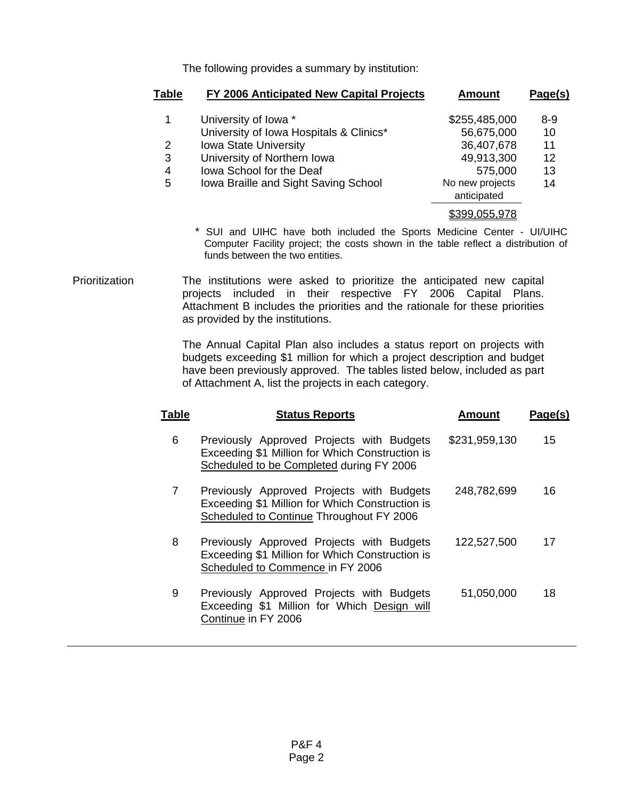The following provides a summary by institution:

| Table | FY 2006 Anticipated New Capital Projects | <b>Amount</b>                  | Page(s) |
|-------|------------------------------------------|--------------------------------|---------|
|       | University of Iowa *                     | \$255,485,000                  | $8 - 9$ |
|       | University of Iowa Hospitals & Clinics*  | 56,675,000                     | 10      |
| 2     | <b>Iowa State University</b>             | 36,407,678                     | 11      |
| 3     | University of Northern Iowa              | 49,913,300                     | 12      |
| 4     | Jowa School for the Deaf                 | 575,000                        | 13      |
| 5     | Iowa Braille and Sight Saving School     | No new projects<br>anticipated | 14      |
|       |                                          | \$399,055,978                  |         |

\* SUI and UIHC have both included the Sports Medicine Center - UI/UIHC Computer Facility project; the costs shown in the table reflect a distribution of funds between the two entities.

Prioritization The institutions were asked to prioritize the anticipated new capital projects included in their respective FY 2006 Capital Plans. Attachment B includes the priorities and the rationale for these priorities as provided by the institutions.

> The Annual Capital Plan also includes a status report on projects with budgets exceeding \$1 million for which a project description and budget have been previously approved. The tables listed below, included as part of Attachment A, list the projects in each category.

| Table | <b>Status Reports</b>                                                                                                                    | <b>Amount</b> | Page(s) |
|-------|------------------------------------------------------------------------------------------------------------------------------------------|---------------|---------|
| 6     | Previously Approved Projects with Budgets<br>Exceeding \$1 Million for Which Construction is<br>Scheduled to be Completed during FY 2006 | \$231,959,130 | 15      |
| 7     | Previously Approved Projects with Budgets<br>Exceeding \$1 Million for Which Construction is<br>Scheduled to Continue Throughout FY 2006 | 248,782,699   | 16      |
| 8     | Previously Approved Projects with Budgets<br>Exceeding \$1 Million for Which Construction is<br>Scheduled to Commence in FY 2006         | 122,527,500   | 17      |
| 9     | Previously Approved Projects with Budgets<br>Exceeding \$1 Million for Which Design will<br>Continue in FY 2006                          | 51,050,000    | 18      |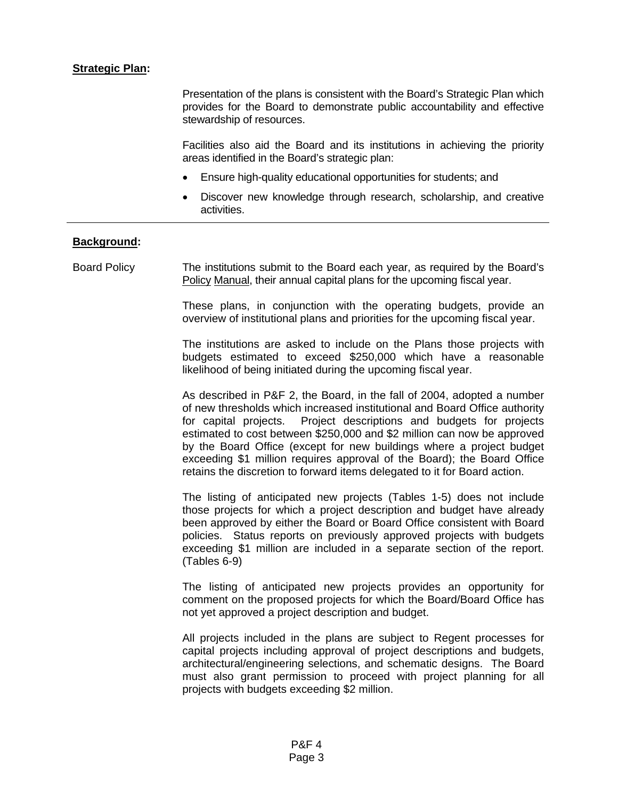## **Strategic Plan:**

 Presentation of the plans is consistent with the Board's Strategic Plan which provides for the Board to demonstrate public accountability and effective stewardship of resources.

 Facilities also aid the Board and its institutions in achieving the priority areas identified in the Board's strategic plan:

- Ensure high-quality educational opportunities for students; and
- Discover new knowledge through research, scholarship, and creative activities.

## **Background:**

Board Policy The institutions submit to the Board each year, as required by the Board's Policy Manual, their annual capital plans for the upcoming fiscal year.

> These plans, in conjunction with the operating budgets, provide an overview of institutional plans and priorities for the upcoming fiscal year.

> The institutions are asked to include on the Plans those projects with budgets estimated to exceed \$250,000 which have a reasonable likelihood of being initiated during the upcoming fiscal year.

> As described in P&F 2, the Board, in the fall of 2004, adopted a number of new thresholds which increased institutional and Board Office authority for capital projects. Project descriptions and budgets for projects estimated to cost between \$250,000 and \$2 million can now be approved by the Board Office (except for new buildings where a project budget exceeding \$1 million requires approval of the Board); the Board Office retains the discretion to forward items delegated to it for Board action.

> The listing of anticipated new projects (Tables 1-5) does not include those projects for which a project description and budget have already been approved by either the Board or Board Office consistent with Board policies. Status reports on previously approved projects with budgets exceeding \$1 million are included in a separate section of the report. (Tables 6-9)

> The listing of anticipated new projects provides an opportunity for comment on the proposed projects for which the Board/Board Office has not yet approved a project description and budget.

> All projects included in the plans are subject to Regent processes for capital projects including approval of project descriptions and budgets, architectural/engineering selections, and schematic designs. The Board must also grant permission to proceed with project planning for all projects with budgets exceeding \$2 million.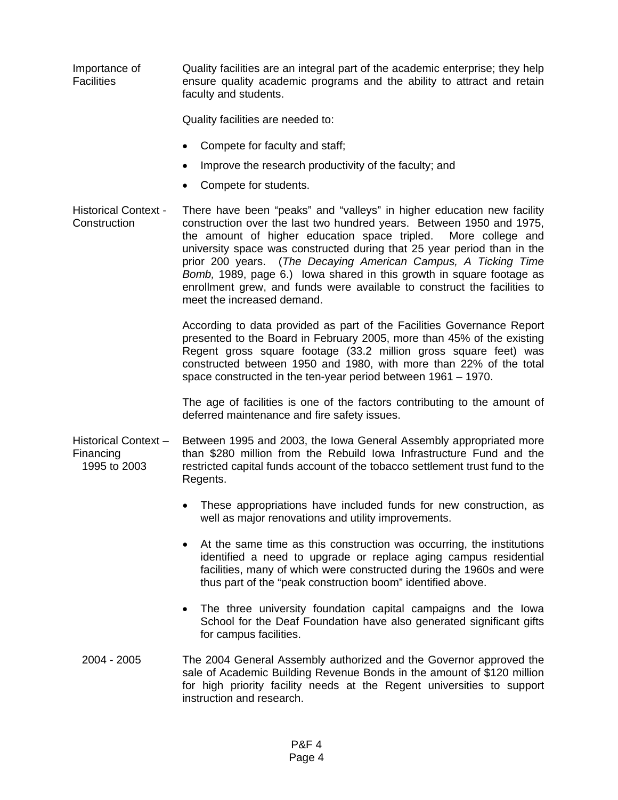Importance of **Facilities** Quality facilities are an integral part of the academic enterprise; they help ensure quality academic programs and the ability to attract and retain faculty and students.

Quality facilities are needed to:

- Compete for faculty and staff;
- Improve the research productivity of the faculty; and
- Compete for students.
- Historical Context **Construction** There have been "peaks" and "valleys" in higher education new facility construction over the last two hundred years. Between 1950 and 1975, the amount of higher education space tripled. More college and university space was constructed during that 25 year period than in the prior 200 years. (*The Decaying American Campus, A Ticking Time Bomb,* 1989, page 6.) Iowa shared in this growth in square footage as enrollment grew, and funds were available to construct the facilities to meet the increased demand.

 According to data provided as part of the Facilities Governance Report presented to the Board in February 2005, more than 45% of the existing Regent gross square footage (33.2 million gross square feet) was constructed between 1950 and 1980, with more than 22% of the total space constructed in the ten-year period between 1961 – 1970.

 The age of facilities is one of the factors contributing to the amount of deferred maintenance and fire safety issues.

Historical Context – Financing 1995 to 2003 Between 1995 and 2003, the Iowa General Assembly appropriated more than \$280 million from the Rebuild Iowa Infrastructure Fund and the restricted capital funds account of the tobacco settlement trust fund to the Regents.

- These appropriations have included funds for new construction, as well as major renovations and utility improvements.
- At the same time as this construction was occurring, the institutions identified a need to upgrade or replace aging campus residential facilities, many of which were constructed during the 1960s and were thus part of the "peak construction boom" identified above.
- The three university foundation capital campaigns and the Iowa School for the Deaf Foundation have also generated significant gifts for campus facilities.
- 2004 2005 The 2004 General Assembly authorized and the Governor approved the sale of Academic Building Revenue Bonds in the amount of \$120 million for high priority facility needs at the Regent universities to support instruction and research.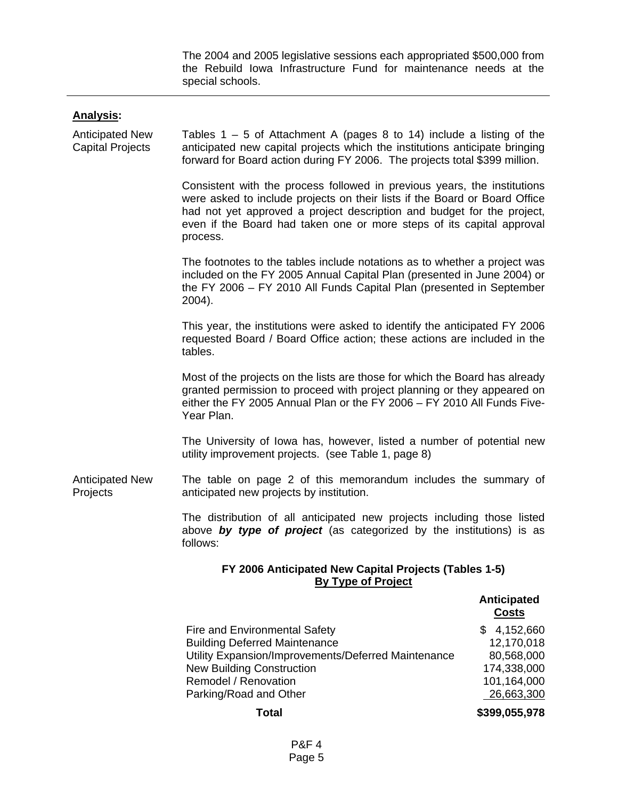The 2004 and 2005 legislative sessions each appropriated \$500,000 from the Rebuild Iowa Infrastructure Fund for maintenance needs at the special schools.

| <b>Analysis:</b> |
|------------------|
|                  |

Anticipated New Capital Projects Tables  $1 - 5$  of Attachment A (pages 8 to 14) include a listing of the anticipated new capital projects which the institutions anticipate bringing forward for Board action during FY 2006. The projects total \$399 million.

> Consistent with the process followed in previous years, the institutions were asked to include projects on their lists if the Board or Board Office had not yet approved a project description and budget for the project, even if the Board had taken one or more steps of its capital approval process.

> The footnotes to the tables include notations as to whether a project was included on the FY 2005 Annual Capital Plan (presented in June 2004) or the FY 2006 – FY 2010 All Funds Capital Plan (presented in September 2004).

> This year, the institutions were asked to identify the anticipated FY 2006 requested Board / Board Office action; these actions are included in the tables.

> Most of the projects on the lists are those for which the Board has already granted permission to proceed with project planning or they appeared on either the FY 2005 Annual Plan or the FY 2006 – FY 2010 All Funds Five-Year Plan.

> The University of Iowa has, however, listed a number of potential new utility improvement projects. (see Table 1, page 8)

Anticipated New **Projects** The table on page 2 of this memorandum includes the summary of anticipated new projects by institution.

> The distribution of all anticipated new projects including those listed above *by type of project* (as categorized by the institutions) is as follows:

## **FY 2006 Anticipated New Capital Projects (Tables 1-5) By Type of Project**

|                                                     | Anticipated<br><b>Costs</b> |
|-----------------------------------------------------|-----------------------------|
| Fire and Environmental Safety                       | 4,152,660<br>S.             |
| <b>Building Deferred Maintenance</b>                | 12,170,018                  |
| Utility Expansion/Improvements/Deferred Maintenance | 80,568,000                  |
| <b>New Building Construction</b>                    | 174,338,000                 |
| Remodel / Renovation                                | 101,164,000                 |
| Parking/Road and Other                              | 26,663,300                  |
| <b>Total</b>                                        | \$399,055,978               |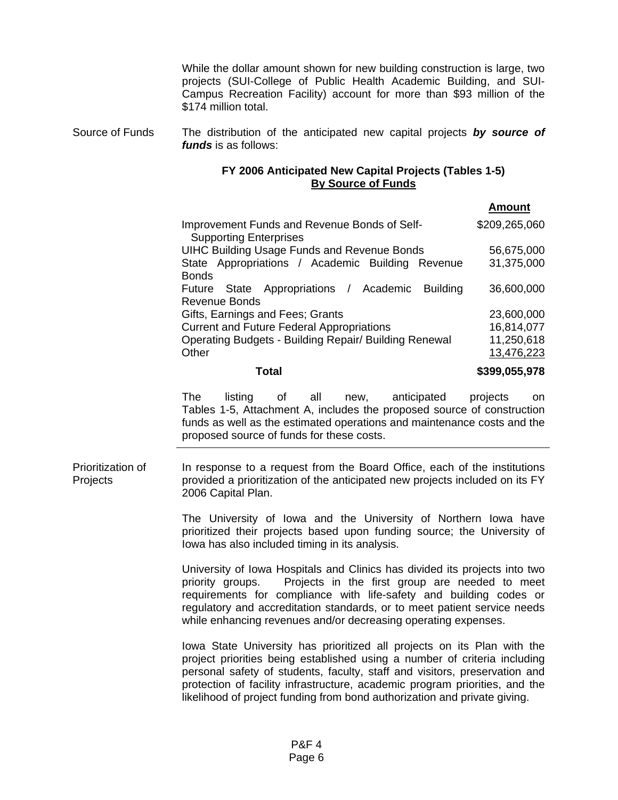While the dollar amount shown for new building construction is large, two projects (SUI-College of Public Health Academic Building, and SUI-Campus Recreation Facility) account for more than \$93 million of the \$174 million total.

Source of Funds The distribution of the anticipated new capital projects *by source of funds* is as follows:

# **FY 2006 Anticipated New Capital Projects (Tables 1-5) By Source of Funds**

|                                                                                      | <b>Amount</b> |
|--------------------------------------------------------------------------------------|---------------|
| Improvement Funds and Revenue Bonds of Self-<br><b>Supporting Enterprises</b>        | \$209,265,060 |
| <b>UIHC Building Usage Funds and Revenue Bonds</b>                                   | 56,675,000    |
| State Appropriations / Academic Building Revenue<br><b>Bonds</b>                     | 31,375,000    |
| State Appropriations / Academic<br><b>Building</b><br>Future<br><b>Revenue Bonds</b> | 36,600,000    |
| Gifts, Earnings and Fees; Grants                                                     | 23,600,000    |
| <b>Current and Future Federal Appropriations</b>                                     | 16,814,077    |
| <b>Operating Budgets - Building Repair/ Building Renewal</b>                         | 11,250,618    |
| Other                                                                                | 13,476,223    |
| <b>Total</b>                                                                         | \$399,055,978 |

 The listing of all new, anticipated projects on Tables 1-5, Attachment A, includes the proposed source of construction funds as well as the estimated operations and maintenance costs and the proposed source of funds for these costs.

Prioritization of Projects In response to a request from the Board Office, each of the institutions provided a prioritization of the anticipated new projects included on its FY 2006 Capital Plan.

> The University of Iowa and the University of Northern Iowa have prioritized their projects based upon funding source; the University of Iowa has also included timing in its analysis.

> University of Iowa Hospitals and Clinics has divided its projects into two priority groups. Projects in the first group are needed to meet requirements for compliance with life-safety and building codes or regulatory and accreditation standards, or to meet patient service needs while enhancing revenues and/or decreasing operating expenses.

> Iowa State University has prioritized all projects on its Plan with the project priorities being established using a number of criteria including personal safety of students, faculty, staff and visitors, preservation and protection of facility infrastructure, academic program priorities, and the likelihood of project funding from bond authorization and private giving.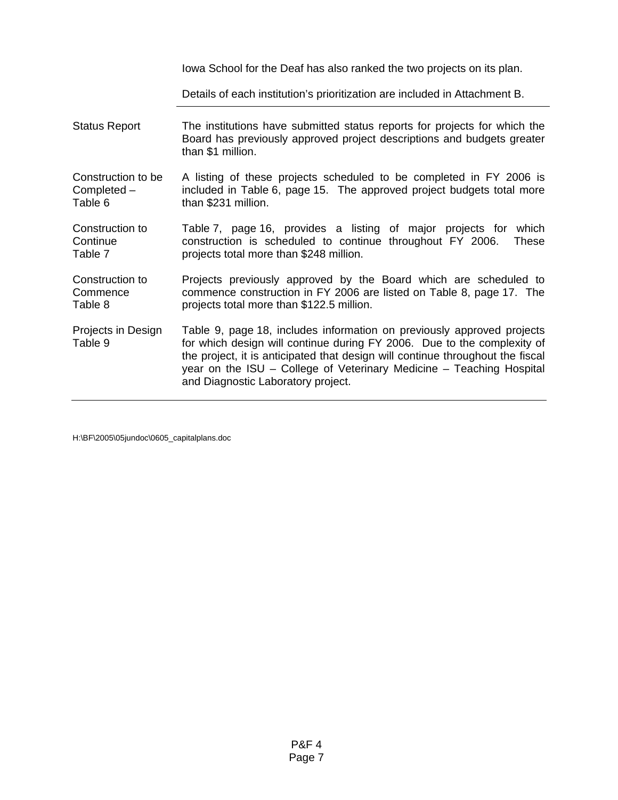Iowa School for the Deaf has also ranked the two projects on its plan.

Details of each institution's prioritization are included in Attachment B.

| <b>Status Report</b>                         | The institutions have submitted status reports for projects for which the<br>Board has previously approved project descriptions and budgets greater<br>than \$1 million.                                                                                                                                                                          |
|----------------------------------------------|---------------------------------------------------------------------------------------------------------------------------------------------------------------------------------------------------------------------------------------------------------------------------------------------------------------------------------------------------|
| Construction to be<br>Completed -<br>Table 6 | A listing of these projects scheduled to be completed in FY 2006 is<br>included in Table 6, page 15. The approved project budgets total more<br>than \$231 million.                                                                                                                                                                               |
| Construction to<br>Continue<br>Table 7       | Table 7, page 16, provides a listing of major projects for<br>which<br>construction is scheduled to continue throughout FY 2006.<br>These<br>projects total more than \$248 million.                                                                                                                                                              |
| Construction to<br>Commence<br>Table 8       | Projects previously approved by the Board which are scheduled to<br>commence construction in FY 2006 are listed on Table 8, page 17. The<br>projects total more than \$122.5 million.                                                                                                                                                             |
| Projects in Design<br>Table 9                | Table 9, page 18, includes information on previously approved projects<br>for which design will continue during FY 2006. Due to the complexity of<br>the project, it is anticipated that design will continue throughout the fiscal<br>year on the ISU - College of Veterinary Medicine - Teaching Hospital<br>and Diagnostic Laboratory project. |

H:\BF\2005\05jundoc\0605\_capitalplans.doc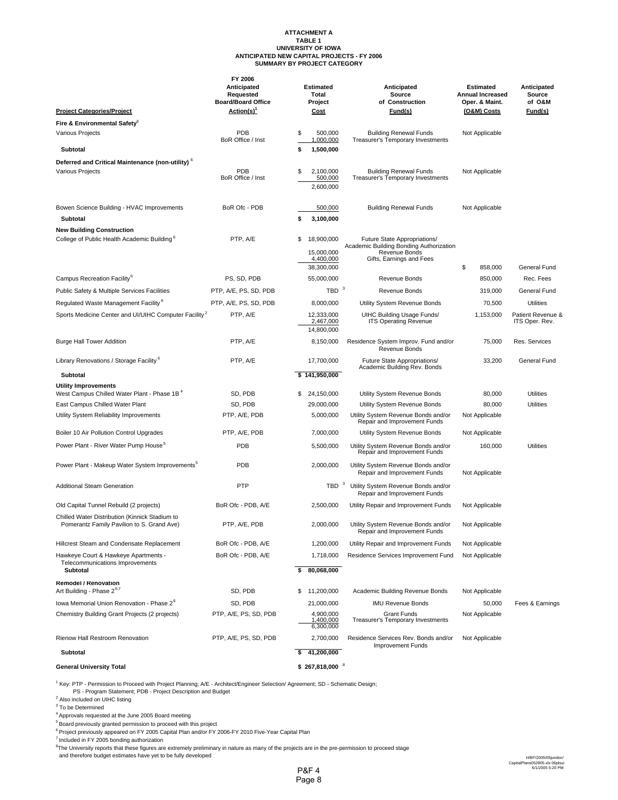#### **ATTACHMENT A TABLE 1 UNIVERSITY OF IOWA ANTICIPATED NEW CAPITAL PROJECTS - FY 2006 SUMMARY BY PROJECT CATEGORY**

**FY 2006**

|                                                                                              | <b>FY ZUUD</b><br>Anticipated<br>Requested<br><b>Board/Board Office</b> | <b>Estimated</b><br>Total<br>Project        | Anticipated<br>Source<br>of Construction                                                 | <b>Estimated</b><br>Annual Increased<br>Oper. & Maint. | Anticipated<br>Source<br>of O&M     |
|----------------------------------------------------------------------------------------------|-------------------------------------------------------------------------|---------------------------------------------|------------------------------------------------------------------------------------------|--------------------------------------------------------|-------------------------------------|
| <b>Project Categories/Project</b>                                                            | Action(s) <sup>1</sup>                                                  | <b>Cost</b>                                 | Fund(s)                                                                                  | (O&M) Costs                                            | Fund(s)                             |
| Fire & Environmental Safety <sup>®</sup>                                                     |                                                                         |                                             |                                                                                          |                                                        |                                     |
| Various Projects                                                                             | PDB<br>BoR Office / Inst                                                | \$<br>500,000<br>1,000,000                  | <b>Building Renewal Funds</b><br>Treasurer's Temporary Investments                       | Not Applicable                                         |                                     |
| <b>Subtotal</b>                                                                              |                                                                         | 1,500,000<br>\$                             |                                                                                          |                                                        |                                     |
| Deferred and Critical Maintenance (non-utility) <sup>6</sup>                                 |                                                                         |                                             |                                                                                          |                                                        |                                     |
| Various Projects                                                                             | PDB<br>BoR Office / Inst                                                | 2,100,000<br>S.<br>500,000<br>2,600,000     | <b>Building Renewal Funds</b><br>Treasurer's Temporary Investments                       | Not Applicable                                         |                                     |
| Bowen Science Building - HVAC Improvements                                                   | BoR Ofc - PDB                                                           | 500,000                                     | <b>Building Renewal Funds</b>                                                            | Not Applicable                                         |                                     |
| <b>Subtotal</b>                                                                              |                                                                         | 3,100,000<br>\$                             |                                                                                          |                                                        |                                     |
| <b>New Building Construction</b><br>College of Public Health Academic Building <sup>o</sup>  | PTP, A/E                                                                | 18,900,000<br>\$<br>15,000,000<br>4,400,000 | Future State Appropriations/<br>Academic Building Bonding Authorization<br>Revenue Bonds |                                                        |                                     |
|                                                                                              |                                                                         | 38,300,000                                  | Gifts, Earnings and Fees                                                                 | \$<br>858,000                                          | General Fund                        |
| Campus Recreation Facility <sup>6</sup>                                                      | PS, SD, PDB                                                             | 55,000,000                                  | Revenue Bonds                                                                            | 850,000                                                | Rec. Fees                           |
| Public Safety & Multiple Services Facilities                                                 | PTP, A/E, PS, SD, PDB                                                   | TBD $3$                                     | Revenue Bonds                                                                            | 319,000                                                | General Fund                        |
| Regulated Waste Management Facility <sup>6</sup>                                             | PTP, A/E, PS, SD, PDB                                                   | 8,000,000                                   | Utility System Revenue Bonds                                                             | 70,500                                                 | <b>Utilities</b>                    |
| Sports Medicine Center and UI/UIHC Computer Facility <sup>2</sup>                            | PTP, A/E                                                                | 12,333,000<br>2,467,000<br>14,800,000       | UIHC Building Usage Funds/<br><b>ITS Operating Revenue</b>                               | 1,153,000                                              | Patient Revenue &<br>ITS Oper. Rev. |
| <b>Burge Hall Tower Addition</b>                                                             | PTP, A/E                                                                | 8,150,000                                   | Residence System Improv. Fund and/or<br>Revenue Bonds                                    | 75,000                                                 | Res. Services                       |
| Library Renovations / Storage Facility <sup>6</sup>                                          | PTP, A/E                                                                | 17,700,000                                  | Future State Appropriations/                                                             | 33,200                                                 | General Fund                        |
| Subtotal                                                                                     |                                                                         | \$141,950,000                               | Academic Building Rev. Bonds                                                             |                                                        |                                     |
| <b>Utility Improvements</b><br>West Campus Chilled Water Plant - Phase 1B <sup>4</sup>       | SD, PDB                                                                 | 24,150,000<br>\$                            | Utility System Revenue Bonds                                                             | 80,000                                                 | <b>Utilities</b>                    |
| East Campus Chilled Water Plant                                                              | SD, PDB                                                                 | 29,000,000                                  | Utility System Revenue Bonds                                                             | 80,000                                                 | <b>Utilities</b>                    |
| Utility System Reliability Improvements                                                      | PTP, A/E, PDB                                                           | 5,000,000                                   | Utility System Revenue Bonds and/or<br>Repair and Improvement Funds                      | Not Applicable                                         |                                     |
| Boiler 10 Air Pollution Control Upgrades                                                     | PTP, A/E, PDB                                                           | 7,000,000                                   | Utility System Revenue Bonds                                                             | Not Applicable                                         |                                     |
| Power Plant - River Water Pump House <sup>5</sup>                                            | <b>PDB</b>                                                              | 5,500,000                                   | Utility System Revenue Bonds and/or<br>Repair and Improvement Funds                      | 160,000                                                | <b>Utilities</b>                    |
| Power Plant - Makeup Water System Improvements <sup>3</sup>                                  | <b>PDB</b>                                                              | 2,000,000                                   | Utility System Revenue Bonds and/or<br>Repair and Improvement Funds                      | Not Applicable                                         |                                     |
| <b>Additional Steam Generation</b>                                                           | PTP                                                                     |                                             | TBD <sup>3</sup> Utility System Revenue Bonds and/or<br>Repair and Improvement Funds     |                                                        |                                     |
| Old Capital Tunnel Rebuild (2 projects)                                                      | BoR Ofc - PDB, A/E                                                      | 2,500,000                                   | Utility Repair and Improvement Funds                                                     | Not Applicable                                         |                                     |
| Chilled Water Distribution (Kinnick Stadium to<br>Pomerantz Family Pavilion to S. Grand Ave) | PTP, A/E, PDB                                                           | 2,000,000                                   | Utility System Revenue Bonds and/or<br>Repair and Improvement Funds                      | Not Applicable                                         |                                     |
| Hillcrest Steam and Condensate Replacement                                                   | BoR Ofc - PDB, A/E                                                      | 1,200,000                                   | Utility Repair and Improvement Funds                                                     | Not Applicable                                         |                                     |
| Hawkeye Court & Hawkeye Apartments -<br>Telecommunications Improvements<br>Subtotal          | BoR Ofc - PDB, A/E                                                      | 1,718,000<br>80,068,000<br>\$               | Residence Services Improvement Fund                                                      | Not Applicable                                         |                                     |
| <b>Remodel / Renovation</b><br>Art Building - Phase 2 <sup>6,7</sup>                         | SD, PDB                                                                 | 11,200,000<br>S.                            | Academic Building Revenue Bonds                                                          | Not Applicable                                         |                                     |
| lowa Memorial Union Renovation - Phase 2 <sup>6</sup>                                        | SD, PDB                                                                 | 21,000,000                                  | <b>IMU Revenue Bonds</b>                                                                 | 50,000                                                 | Fees & Earnings                     |
| Chemistry Building Grant Projects (2 projects)                                               | PTP, A/E, PS, SD, PDB                                                   | 4,900,000<br>1,400,000<br>6,300,000         | Grant Funds<br>Treasurer's Temporary Investments                                         | Not Applicable                                         |                                     |
| Rienow Hall Restroom Renovation                                                              | PTP, A/E, PS, SD, PDB                                                   | 2,700,000                                   | Residence Services Rev. Bonds and/or                                                     | Not Applicable                                         |                                     |
| <b>Subtotal</b>                                                                              |                                                                         | 41,200,000                                  | Improvement Funds                                                                        |                                                        |                                     |
| <b>General University Total</b>                                                              |                                                                         | $$267,818,000$ $$$                          |                                                                                          |                                                        |                                     |

<sup>1</sup> Key: PTP - Permission to Proceed with Project Planning; A/E - Architect/Engineer Selection/ Agreement; SD - Schematic Design;<br>PS - Program Statement; PDB - Project Description and Budget

<sup>2</sup> Also included on UIHC listing

<sup>3</sup> To be Determined

<sup>4</sup> Approvals requested at the June 2005 Board meeting

<sup>5</sup> Board previously granted permission to proceed with this project

<sup>6</sup> Project previously appeared on FY 2005 Capital Plan and/or FY 2006-FY 2010 Five-Year Capital Plan

 $7$  Included in FY 2005 bonding authorization

<sup>8</sup>The University reports that these figures are extremely preliminary in nature as many of the projects are in the pre-permission to proceed stage<br>and therefore budget estimates have yet to be fully developed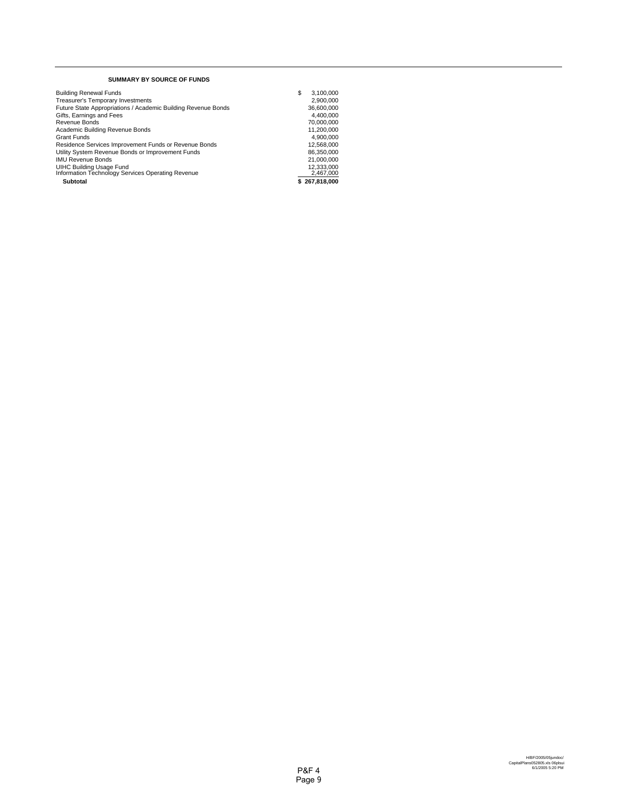#### **SUMMARY BY SOURCE OF FUNDS**

| <b>Building Renewal Funds</b>                                 | \$<br>3,100,000 |
|---------------------------------------------------------------|-----------------|
| Treasurer's Temporary Investments                             | 2.900.000       |
| Future State Appropriations / Academic Building Revenue Bonds | 36.600.000      |
| Gifts, Earnings and Fees                                      | 4.400.000       |
| Revenue Bonds                                                 | 70,000,000      |
| Academic Building Revenue Bonds                               | 11.200.000      |
| Grant Funds                                                   | 4,900,000       |
| Residence Services Improvement Funds or Revenue Bonds         | 12,568,000      |
| Utility System Revenue Bonds or Improvement Funds             | 86.350.000      |
| <b>IMU Revenue Bonds</b>                                      | 21.000.000      |
| <b>UIHC Building Usage Fund</b>                               | 12,333,000      |
| Information Technology Services Operating Revenue             | 2,467,000       |
| <b>Subtotal</b>                                               | \$267.818.000   |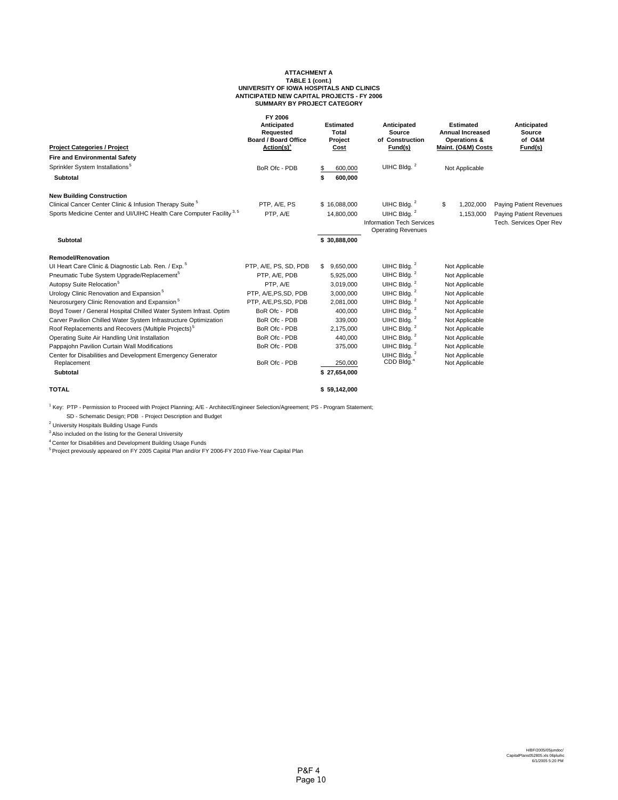# **SUMMARY BY PROJECT CATEGORY ANTICIPATED NEW CAPITAL PROJECTS - FY 2006 ATTACHMENT A TABLE 1 (cont.) UNIVERSITY OF IOWA HOSPITALS AND CLINICS**

**FY 2006**

| <b>Project Categories / Project</b>                                   | <b>FY ZUUD</b><br>Anticipated<br>Requested<br><b>Board / Board Office</b><br>$Action(s)^{1}$ | <b>Estimated</b><br>Total<br>Project<br>Cost | Anticipated<br>Source<br>of Construction<br>Fund(s)    | <b>Estimated</b><br><b>Annual Increased</b><br>Operations &<br>Maint. (O&M) Costs | Anticipated<br>Source<br>of O&M<br>Fund(s) |
|-----------------------------------------------------------------------|----------------------------------------------------------------------------------------------|----------------------------------------------|--------------------------------------------------------|-----------------------------------------------------------------------------------|--------------------------------------------|
| <b>Fire and Environmental Safety</b>                                  |                                                                                              |                                              |                                                        |                                                                                   |                                            |
| Sprinkler System Installations <sup>5</sup>                           | BoR Ofc - PDB                                                                                | 600,000                                      | UIHC Bldg. <sup>2</sup>                                | Not Applicable                                                                    |                                            |
| <b>Subtotal</b>                                                       |                                                                                              | \$<br>600,000                                |                                                        |                                                                                   |                                            |
| <b>New Building Construction</b>                                      |                                                                                              |                                              |                                                        |                                                                                   |                                            |
| Clinical Cancer Center Clinic & Infusion Therapy Suite <sup>5</sup>   | PTP, A/E, PS                                                                                 | \$16,088,000                                 | UIHC Bldg. <sup>2</sup>                                | \$<br>1,202,000                                                                   | Paying Patient Revenues                    |
| Sports Medicine Center and UI/UIHC Health Care Computer Facility 3, 5 | PTP, A/E                                                                                     | 14.800.000                                   | UIHC Bldg. <sup>2</sup>                                | 1,153,000                                                                         | Paying Patient Revenues                    |
|                                                                       |                                                                                              |                                              | Information Tech Services<br><b>Operating Revenues</b> |                                                                                   | Tech. Services Oper Rev                    |
| <b>Subtotal</b>                                                       |                                                                                              | \$30,888,000                                 |                                                        |                                                                                   |                                            |
| <b>Remodel/Renovation</b>                                             |                                                                                              |                                              |                                                        |                                                                                   |                                            |
| UI Heart Care Clinic & Diagnostic Lab. Ren. / Exp. <sup>5</sup>       | PTP, A/E, PS, SD, PDB                                                                        | 9,650,000<br>\$                              | UIHC Bldg. <sup>2</sup>                                | Not Applicable                                                                    |                                            |
| Pneumatic Tube System Upgrade/Replacement <sup>5</sup>                | PTP, A/E, PDB                                                                                | 5,925,000                                    | UIHC Bldg. <sup>2</sup>                                | Not Applicable                                                                    |                                            |
| Autopsy Suite Relocation <sup>5</sup>                                 | PTP. A/E                                                                                     | 3,019,000                                    | UIHC Bldg. <sup>2</sup>                                | Not Applicable                                                                    |                                            |
| Urology Clinic Renovation and Expansion <sup>5</sup>                  | PTP, A/E, PS, SD, PDB                                                                        | 3,000,000                                    | UIHC Bldg. <sup>2</sup>                                | Not Applicable                                                                    |                                            |
| Neurosurgery Clinic Renovation and Expansion <sup>5</sup>             | PTP, A/E, PS, SD, PDB                                                                        | 2,081,000                                    | UIHC Bldg. <sup>2</sup>                                | Not Applicable                                                                    |                                            |
| Boyd Tower / General Hospital Chilled Water System Infrast. Optim     | BoR Ofc - PDB                                                                                | 400,000                                      | UIHC Bldg. <sup>2</sup>                                | Not Applicable                                                                    |                                            |
| Carver Pavilion Chilled Water System Infrastructure Optimization      | BoR Ofc - PDB                                                                                | 339,000                                      | UIHC Bldg. <sup>2</sup>                                | Not Applicable                                                                    |                                            |
| Roof Replacements and Recovers (Multiple Projects) <sup>5</sup>       | BoR Ofc - PDB                                                                                | 2,175,000                                    | UIHC Bldg. <sup>2</sup>                                | Not Applicable                                                                    |                                            |
| Operating Suite Air Handling Unit Installation                        | BoR Ofc - PDB                                                                                | 440,000                                      | UIHC Bldg. <sup>2</sup>                                | Not Applicable                                                                    |                                            |
| Pappajohn Pavilion Curtain Wall Modifications                         | BoR Ofc - PDB                                                                                | 375,000                                      | UIHC Bldg. <sup>2</sup>                                | Not Applicable                                                                    |                                            |
| Center for Disabilities and Development Emergency Generator           |                                                                                              |                                              | UIHC Bldg. <sup>2</sup>                                | Not Applicable                                                                    |                                            |
| Replacement                                                           | BoR Ofc - PDB                                                                                | 250,000                                      | CDD Bldg. <sup>4</sup>                                 | Not Applicable                                                                    |                                            |
| <b>Subtotal</b>                                                       |                                                                                              | \$27,654,000                                 |                                                        |                                                                                   |                                            |
| <b>TOTAL</b>                                                          |                                                                                              | \$59,142,000                                 |                                                        |                                                                                   |                                            |

1 Key: PTP - Permission to Proceed with Project Planning; A/E - Architect/Engineer Selection/Agreement; PS - Program Statement; SD - Schematic Design; PDB - Project Description and Budget

<sup>2</sup> University Hospitals Building Usage Funds

<sup>3</sup> Also included on the listing for the General University

4 Center for Disabilities and Development Building Usage Funds

5 Project previously appeared on FY 2005 Capital Plan and/or FY 2006-FY 2010 Five-Year Capital Plan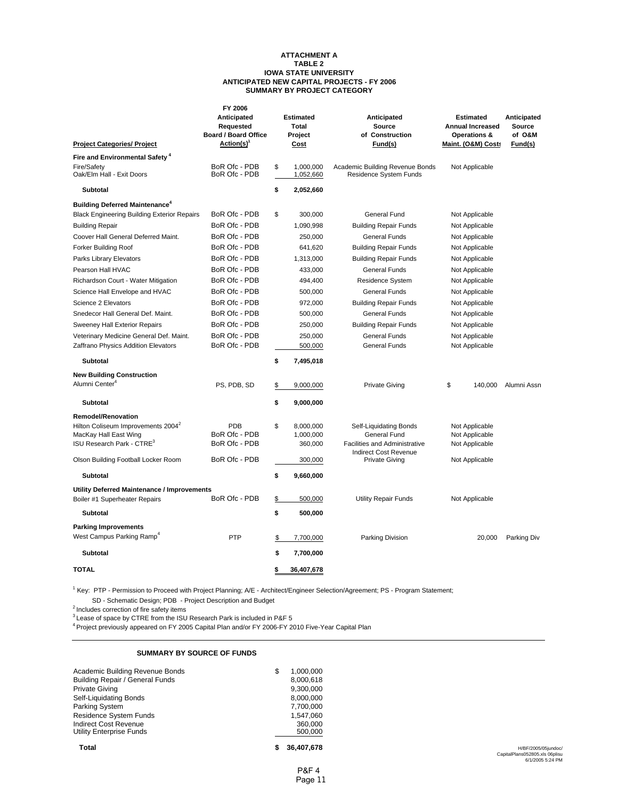#### **SUMMARY BY PROJECT CATEGORY ATTACHMENT A TABLE 2 IOWA STATE UNIVERSITY ANTICIPATED NEW CAPITAL PROJECTS - FY 2006**

**FY 2006**

| <b>Project Categories/ Project</b>                 | <b>FY 2006</b><br>Anticipated<br>Requested<br><b>Board / Board Office</b><br>Action(s) <sup>1</sup> | <b>Estimated</b><br>Total<br>Project<br>Cost | Anticipated<br>Source<br>of Construction<br>Fund(s)           | <b>Estimated</b><br><b>Annual Increased</b><br><b>Operations &amp;</b><br>Maint. (O&M) Costs | Anticipated<br>Source<br>of O&M<br>Fund(s) |
|----------------------------------------------------|-----------------------------------------------------------------------------------------------------|----------------------------------------------|---------------------------------------------------------------|----------------------------------------------------------------------------------------------|--------------------------------------------|
| Fire and Environmental Safety <sup>4</sup>         |                                                                                                     |                                              |                                                               |                                                                                              |                                            |
| Fire/Safety<br>Oak/Elm Hall - Exit Doors           | BoR Ofc - PDB<br>BoR Ofc - PDB                                                                      | \$<br>1,000,000<br>1,052,660                 | Academic Building Revenue Bonds<br>Residence System Funds     | Not Applicable                                                                               |                                            |
| <b>Subtotal</b>                                    |                                                                                                     | \$<br>2,052,660                              |                                                               |                                                                                              |                                            |
| <b>Building Deferred Maintenance<sup>4</sup></b>   |                                                                                                     |                                              |                                                               |                                                                                              |                                            |
| <b>Black Engineering Building Exterior Repairs</b> | BoR Ofc - PDB                                                                                       | \$<br>300,000                                | General Fund                                                  | Not Applicable                                                                               |                                            |
| <b>Building Repair</b>                             | BoR Ofc - PDB                                                                                       | 1,090,998                                    | <b>Building Repair Funds</b>                                  | Not Applicable                                                                               |                                            |
| Coover Hall General Deferred Maint.                | BoR Ofc - PDB                                                                                       | 250,000                                      | <b>General Funds</b>                                          | Not Applicable                                                                               |                                            |
| Forker Building Roof                               | BoR Ofc - PDB                                                                                       | 641,620                                      | <b>Building Repair Funds</b>                                  | Not Applicable                                                                               |                                            |
| Parks Library Elevators                            | BoR Ofc - PDB                                                                                       | 1,313,000                                    | <b>Building Repair Funds</b>                                  | Not Applicable                                                                               |                                            |
| Pearson Hall HVAC                                  | BoR Ofc - PDB                                                                                       | 433,000                                      | <b>General Funds</b>                                          | Not Applicable                                                                               |                                            |
| Richardson Court - Water Mitigation                | BoR Ofc - PDB                                                                                       | 494,400                                      | Residence System                                              | Not Applicable                                                                               |                                            |
| Science Hall Envelope and HVAC                     | BoR Ofc - PDB                                                                                       | 500,000                                      | <b>General Funds</b>                                          | Not Applicable                                                                               |                                            |
| Science 2 Elevators                                | BoR Ofc - PDB                                                                                       | 972,000                                      | <b>Building Repair Funds</b>                                  | Not Applicable                                                                               |                                            |
| Snedecor Hall General Def. Maint.                  | BoR Ofc - PDB                                                                                       | 500,000                                      | <b>General Funds</b>                                          | Not Applicable                                                                               |                                            |
| Sweeney Hall Exterior Repairs                      | BoR Ofc - PDB                                                                                       | 250,000                                      | <b>Building Repair Funds</b>                                  | Not Applicable                                                                               |                                            |
| Veterinary Medicine General Def. Maint.            | BoR Ofc - PDB                                                                                       | 250,000                                      | <b>General Funds</b>                                          | Not Applicable                                                                               |                                            |
| Zaffrano Physics Addition Elevators                | BoR Ofc - PDB                                                                                       | 500,000                                      | <b>General Funds</b>                                          | Not Applicable                                                                               |                                            |
| <b>Subtotal</b>                                    |                                                                                                     | \$<br>7,495,018                              |                                                               |                                                                                              |                                            |
| <b>New Building Construction</b>                   |                                                                                                     |                                              |                                                               |                                                                                              |                                            |
| Alumni Center <sup>4</sup>                         | PS, PDB, SD                                                                                         | \$<br>9,000,000                              | <b>Private Giving</b>                                         | \$<br>140.000                                                                                | Alumni Assn                                |
| <b>Subtotal</b>                                    |                                                                                                     | \$<br>9,000,000                              |                                                               |                                                                                              |                                            |
| <b>Remodel/Renovation</b>                          |                                                                                                     |                                              |                                                               |                                                                                              |                                            |
| Hilton Coliseum Improvements 2004 <sup>2</sup>     | PDB                                                                                                 | \$<br>8,000,000                              | Self-Liquidating Bonds                                        | Not Applicable                                                                               |                                            |
| MacKay Hall East Wing                              | BoR Ofc - PDB                                                                                       | 1,000,000                                    | <b>General Fund</b>                                           | Not Applicable                                                                               |                                            |
| <b>ISU Research Park - CTRE<sup>3</sup></b>        | BoR Ofc - PDB                                                                                       | 360,000                                      | <b>Facilities and Administrative</b><br>Indirect Cost Revenue | Not Applicable                                                                               |                                            |
| Olson Building Football Locker Room                | BoR Ofc - PDB                                                                                       | 300,000                                      | <b>Private Giving</b>                                         | Not Applicable                                                                               |                                            |
| Subtotal                                           |                                                                                                     | \$<br>9,660,000                              |                                                               |                                                                                              |                                            |
| <b>Utility Deferred Maintenance / Improvements</b> |                                                                                                     |                                              |                                                               |                                                                                              |                                            |
| Boiler #1 Superheater Repairs                      | BoR Ofc - PDB                                                                                       | \$<br>500,000                                | Utility Repair Funds                                          | Not Applicable                                                                               |                                            |
| Subtotal                                           |                                                                                                     | \$<br>500,000                                |                                                               |                                                                                              |                                            |
| <b>Parking Improvements</b>                        |                                                                                                     |                                              |                                                               |                                                                                              |                                            |
| West Campus Parking Ramp <sup>4</sup>              | PTP                                                                                                 | \$<br>7,700,000                              | Parking Division                                              | 20,000                                                                                       | Parking Div                                |
| <b>Subtotal</b>                                    |                                                                                                     | \$<br>7,700,000                              |                                                               |                                                                                              |                                            |
| <b>TOTAL</b>                                       |                                                                                                     | \$<br>36,407,678                             |                                                               |                                                                                              |                                            |

<sup>1</sup> Key: PTP - Permission to Proceed with Project Planning; A/E - Architect/Engineer Selection/Agreement; PS - Program Statement; SD - Schematic Design; PDB - Project Description and Budget

<sup>2</sup> Includes correction of fire safety items

3 Lease of space by CTRE from the ISU Research Park is included in P&F 5

4 Project previously appeared on FY 2005 Capital Plan and/or FY 2006-FY 2010 Five-Year Capital Plan

#### **SUMMARY BY SOURCE OF FUNDS**

| Total                           |   | 36.407.678 |
|---------------------------------|---|------------|
| Utility Enterprise Funds        |   | 500,000    |
| Indirect Cost Revenue           |   | 360.000    |
| <b>Residence System Funds</b>   |   | 1.547.060  |
| Parking System                  |   | 7,700,000  |
| Self-Liquidating Bonds          |   | 8,000,000  |
| <b>Private Giving</b>           |   | 9.300.000  |
| Building Repair / General Funds |   | 8,000,618  |
| Academic Building Revenue Bonds | S | 1.000.000  |
|                                 |   |            |

H/BF/2005/05jundoc/ CapitalPlans052805.xls 06plisu 6/1/2005 5:24 PM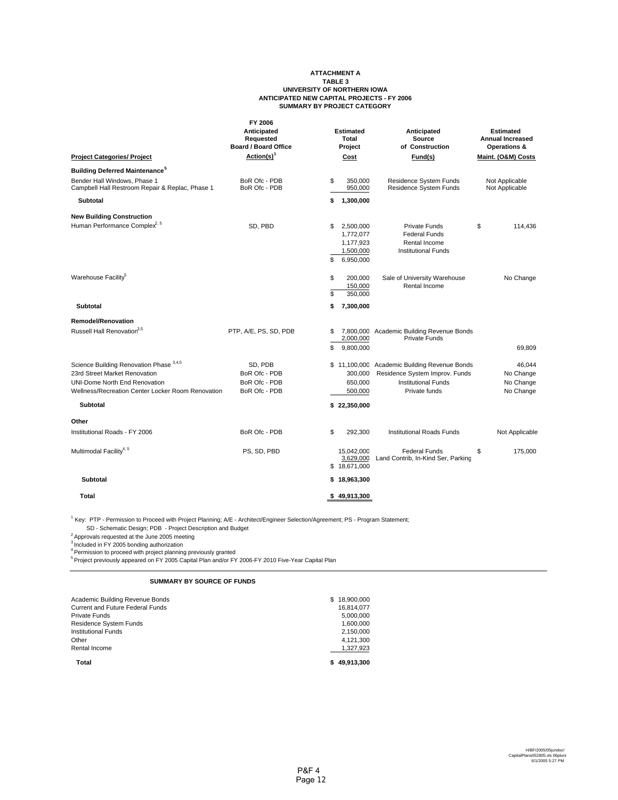#### **ATTACHMENT A TABLE 3 UNIVERSITY OF NORTHERN IOWA ANTICIPATED NEW CAPITAL PROJECTS - FY 2006 SUMMARY BY PROJECT CATEGORY**

| <b>Project Categories/ Project</b>                                                                                                                                                       | FY 2006<br>Anticipated<br>Requested<br><b>Board / Board Office</b><br>Action(s) <sup>1</sup> |          | Estimated<br>Total<br>Project<br>Cost                         | Anticipated<br>Source<br>of Construction<br>Fund(s)                                                                         | <b>Estimated</b><br><b>Annual Increased</b><br><b>Operations &amp;</b><br>Maint. (O&M) Costs |
|------------------------------------------------------------------------------------------------------------------------------------------------------------------------------------------|----------------------------------------------------------------------------------------------|----------|---------------------------------------------------------------|-----------------------------------------------------------------------------------------------------------------------------|----------------------------------------------------------------------------------------------|
| <b>Building Deferred Maintenance<sup>5</sup></b>                                                                                                                                         |                                                                                              |          |                                                               |                                                                                                                             |                                                                                              |
| Bender Hall Windows, Phase 1<br>Campbell Hall Restroom Repair & Replac, Phase 1                                                                                                          | BoR Ofc - PDB<br>BoR Ofc - PDB                                                               | \$       | 350.000<br>950,000                                            | <b>Residence System Funds</b><br>Residence System Funds                                                                     | Not Applicable<br>Not Applicable                                                             |
| <b>Subtotal</b>                                                                                                                                                                          |                                                                                              | \$       | 1,300,000                                                     |                                                                                                                             |                                                                                              |
| <b>New Building Construction</b><br>Human Performance Complex <sup>2, 5</sup>                                                                                                            | SD. PBD                                                                                      | \$<br>\$ | 2,500,000<br>1,772,077<br>1,177,923<br>1,500,000<br>6,950,000 | <b>Private Funds</b><br><b>Federal Funds</b><br>Rental Income<br><b>Institutional Funds</b>                                 | \$<br>114.436                                                                                |
| Warehouse Facility <sup>5</sup>                                                                                                                                                          |                                                                                              | \$<br>\$ | 200,000<br>150,000<br>350,000                                 | Sale of University Warehouse<br>Rental Income                                                                               | No Change                                                                                    |
| <b>Subtotal</b>                                                                                                                                                                          |                                                                                              | \$       | 7,300,000                                                     |                                                                                                                             |                                                                                              |
| <b>Remodel/Renovation</b>                                                                                                                                                                |                                                                                              |          |                                                               |                                                                                                                             |                                                                                              |
| Russell Hall Renovation <sup>3,5</sup>                                                                                                                                                   | PTP, A/E, PS, SD, PDB                                                                        | \$<br>\$ | 7.800.000<br>2,000,000<br>9,800,000                           | Academic Building Revenue Bonds<br><b>Private Funds</b>                                                                     | 69,809                                                                                       |
| Science Building Renovation Phase 3,4,5<br>23rd Street Market Renovation<br><b>UNI-Dome North End Renovation</b><br>Wellness/Recreation Center Locker Room Renovation<br><b>Subtotal</b> | SD, PDB<br>BoR Ofc - PDB<br>BoR Ofc - PDB<br>BoR Ofc - PDB                                   | S        | 300,000<br>650,000<br>500,000<br>\$22,350,000                 | 11,100,000 Academic Building Revenue Bonds<br>Residence System Improv. Funds<br><b>Institutional Funds</b><br>Private funds | 46,044<br>No Change<br>No Change<br>No Change                                                |
| Other                                                                                                                                                                                    |                                                                                              |          |                                                               |                                                                                                                             |                                                                                              |
| Institutional Roads - FY 2006                                                                                                                                                            | BoR Ofc - PDB                                                                                | \$       | 292,300                                                       | <b>Institutional Roads Funds</b>                                                                                            | Not Applicable                                                                               |
| Multimodal Facility <sup>4, 5</sup>                                                                                                                                                      | PS, SD, PBD                                                                                  |          | 15.042.000<br>3,629,000<br>\$18,671,000                       | <b>Federal Funds</b><br>Land Contrib, In-Kind Ser, Parking                                                                  | 175,000<br>\$                                                                                |
| <b>Subtotal</b>                                                                                                                                                                          |                                                                                              | \$       | 18,963,300                                                    |                                                                                                                             |                                                                                              |
| Total                                                                                                                                                                                    |                                                                                              |          | \$49,913,300                                                  |                                                                                                                             |                                                                                              |

<sup>1</sup> Key: PTP - Permission to Proceed with Project Planning; A/E - Architect/Engineer Selection/Agreement; PS - Program Statement;

SD - Schematic Design; PDB - Project Description and Budget

<sup>2</sup> Approvals requested at the June 2005 meeting<br><sup>3</sup> Included in FY 2005 bonding authorization<br><sup>4</sup> Permission to proceed with project planning previously granted<br><sup>5</sup> Project previously appeared on FY 2005 Capital Plan and/

#### **SUMMARY BY SOURCE OF FUNDS**

| Total                            | 49.913.300   |
|----------------------------------|--------------|
| Rental Income                    | 1,327,923    |
| Other                            | 4,121,300    |
| Institutional Funds              | 2.150.000    |
| Residence System Funds           | 1.600.000    |
| Private Funds                    | 5.000.000    |
| Current and Future Federal Funds | 16.814.077   |
| Academic Building Revenue Bonds  | \$18,900,000 |
|                                  |              |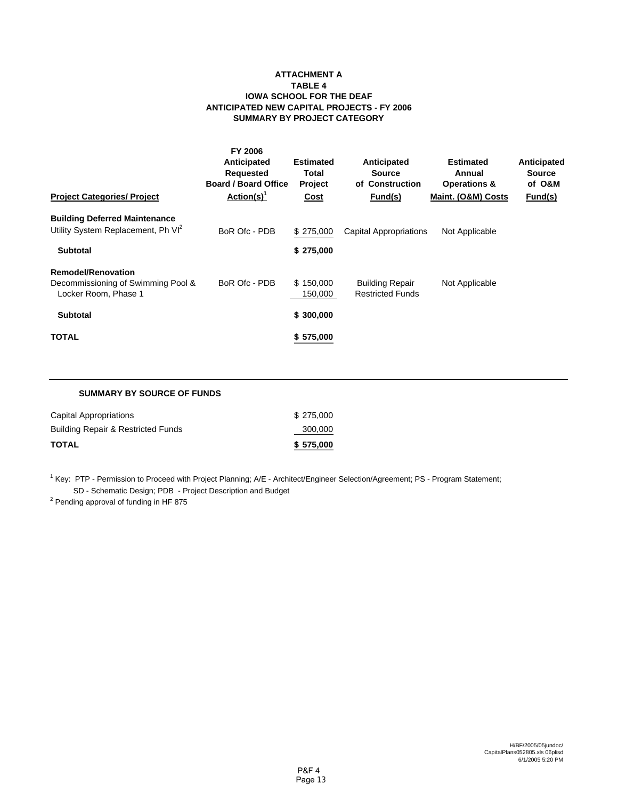#### **SUMMARY BY PROJECT CATEGORY ATTACHMENT A TABLE 4 IOWA SCHOOL FOR THE DEAF ANTICIPATED NEW CAPITAL PROJECTS - FY 2006**

| <b>Project Categories/ Project</b>                         | FY 2006<br>Anticipated<br>Requested<br><b>Board / Board Office</b><br>$Action(s)^1$ | <b>Estimated</b><br>Total<br>Project<br>Cost | Anticipated<br><b>Source</b><br>of Construction<br>Fund(s) | <b>Estimated</b><br>Annual<br><b>Operations &amp;</b><br>Maint. (O&M) Costs | Anticipated<br><b>Source</b><br>of O&M<br>Fund(s) |
|------------------------------------------------------------|-------------------------------------------------------------------------------------|----------------------------------------------|------------------------------------------------------------|-----------------------------------------------------------------------------|---------------------------------------------------|
| <b>Building Deferred Maintenance</b>                       |                                                                                     |                                              |                                                            |                                                                             |                                                   |
| Utility System Replacement, Ph VI <sup>2</sup>             | BoR Ofc - PDB                                                                       | \$275,000                                    | <b>Capital Appropriations</b>                              | Not Applicable                                                              |                                                   |
| <b>Subtotal</b>                                            |                                                                                     | \$275,000                                    |                                                            |                                                                             |                                                   |
| <b>Remodel/Renovation</b>                                  |                                                                                     |                                              |                                                            |                                                                             |                                                   |
| Decommissioning of Swimming Pool &<br>Locker Room, Phase 1 | BoR Ofc - PDB                                                                       | \$150,000<br>150,000                         | <b>Building Repair</b><br><b>Restricted Funds</b>          | Not Applicable                                                              |                                                   |
| <b>Subtotal</b>                                            |                                                                                     | \$300,000                                    |                                                            |                                                                             |                                                   |
| <b>TOTAL</b>                                               |                                                                                     | \$575,000                                    |                                                            |                                                                             |                                                   |

| <b>SUMMARY BY SOURCE OF FUNDS</b> |  |  |
|-----------------------------------|--|--|
|                                   |  |  |

| <b>TOTAL</b>                                  | \$575,000 |
|-----------------------------------------------|-----------|
| <b>Building Repair &amp; Restricted Funds</b> | 300,000   |
| Capital Appropriations                        | \$275,000 |

<sup>1</sup> Key: PTP - Permission to Proceed with Project Planning; A/E - Architect/Engineer Selection/Agreement; PS - Program Statement; SD - Schematic Design; PDB - Project Description and Budget

 $2$  Pending approval of funding in HF 875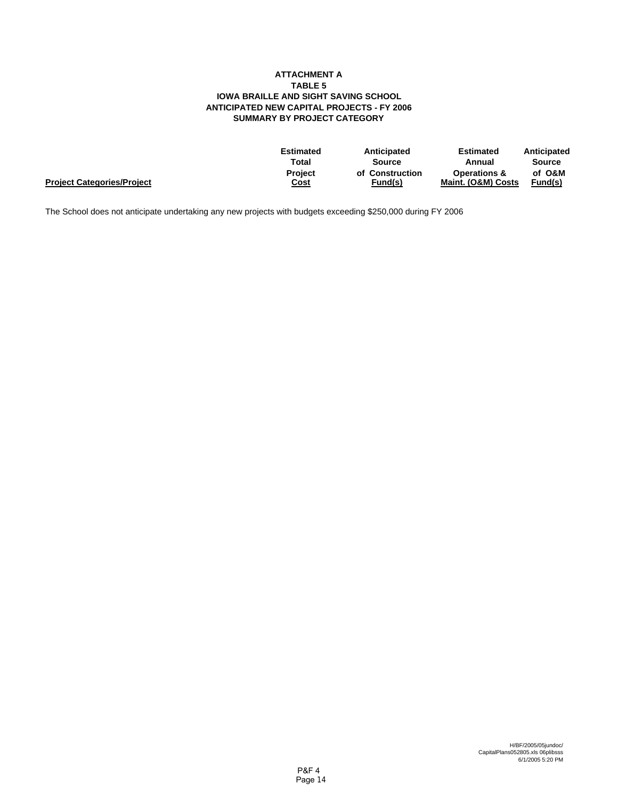#### **TABLE 5 IOWA BRAILLE AND SIGHT SAVING SCHOOL ANTICIPATED NEW CAPITAL PROJECTS - FY 2006 SUMMARY BY PROJECT CATEGORY ATTACHMENT A**

|                                   | <b>Estimated</b> | Anticipated     | <b>Estimated</b>        | Anticipated |
|-----------------------------------|------------------|-----------------|-------------------------|-------------|
|                                   | Total            | Source          | Annual                  | Source      |
|                                   | <b>Project</b>   | of Construction | <b>Operations &amp;</b> | of O&M      |
| <b>Project Categories/Project</b> | <u>Cost</u>      | Fund(s)         | Maint. (O&M) Costs      | Fund(s)     |
|                                   |                  |                 |                         |             |

The School does not anticipate undertaking any new projects with budgets exceeding \$250,000 during FY 2006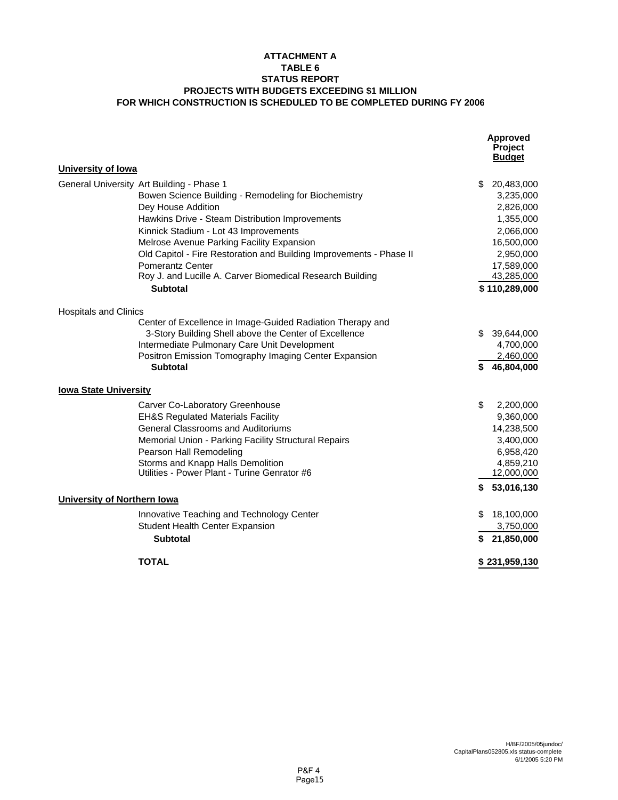## **TABLE 6 STATUS REPORT PROJECTS WITH BUDGETS EXCEEDING \$1 MILLION FOR WHICH CONSTRUCTION IS SCHEDULED TO BE COMPLETED DURING FY 2006 ATTACHMENT A**

| University of Iowa                 |                                                                     | <b>Approved</b><br>Project<br><b>Budget</b> |
|------------------------------------|---------------------------------------------------------------------|---------------------------------------------|
|                                    |                                                                     | \$                                          |
|                                    | General University Art Building - Phase 1                           | 20,483,000                                  |
|                                    | Bowen Science Building - Remodeling for Biochemistry                | 3,235,000                                   |
|                                    | Dey House Addition                                                  | 2,826,000                                   |
|                                    | Hawkins Drive - Steam Distribution Improvements                     | 1,355,000                                   |
|                                    | Kinnick Stadium - Lot 43 Improvements                               | 2,066,000                                   |
|                                    | Melrose Avenue Parking Facility Expansion                           | 16,500,000                                  |
|                                    | Old Capitol - Fire Restoration and Building Improvements - Phase II | 2,950,000                                   |
|                                    | <b>Pomerantz Center</b>                                             | 17,589,000                                  |
|                                    | Roy J. and Lucille A. Carver Biomedical Research Building           | 43,285,000                                  |
|                                    | <b>Subtotal</b>                                                     | \$110,289,000                               |
| <b>Hospitals and Clinics</b>       |                                                                     |                                             |
|                                    | Center of Excellence in Image-Guided Radiation Therapy and          |                                             |
|                                    | 3-Story Building Shell above the Center of Excellence               | \$<br>39,644,000                            |
|                                    | Intermediate Pulmonary Care Unit Development                        | 4,700,000                                   |
|                                    | Positron Emission Tomography Imaging Center Expansion               | 2,460,000                                   |
|                                    | <b>Subtotal</b>                                                     | 46,804,000                                  |
| <b>lowa State University</b>       |                                                                     |                                             |
|                                    | Carver Co-Laboratory Greenhouse                                     | \$<br>2,200,000                             |
|                                    | <b>EH&amp;S Regulated Materials Facility</b>                        | 9,360,000                                   |
|                                    | <b>General Classrooms and Auditoriums</b>                           | 14,238,500                                  |
|                                    | Memorial Union - Parking Facility Structural Repairs                | 3,400,000                                   |
|                                    | Pearson Hall Remodeling                                             | 6,958,420                                   |
|                                    | Storms and Knapp Halls Demolition                                   | 4,859,210                                   |
|                                    | Utilities - Power Plant - Turine Genrator #6                        | 12,000,000                                  |
|                                    |                                                                     | \$53,016,130                                |
| <b>University of Northern lowa</b> |                                                                     |                                             |
|                                    | Innovative Teaching and Technology Center                           | \$<br>18,100,000                            |
|                                    | Student Health Center Expansion                                     | 3,750,000                                   |
|                                    | <b>Subtotal</b>                                                     | \$21,850,000                                |
|                                    | <b>TOTAL</b>                                                        | \$231,959,130                               |
|                                    |                                                                     |                                             |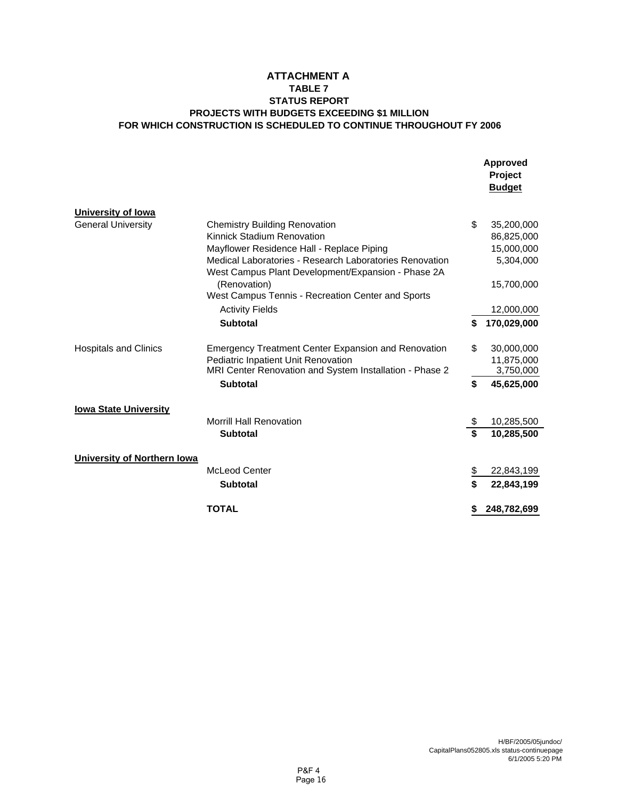## **TABLE 7 ATTACHMENT A STATUS REPORT PROJECTS WITH BUDGETS EXCEEDING \$1 MILLION FOR WHICH CONSTRUCTION IS SCHEDULED TO CONTINUE THROUGHOUT FY 2006**

|                              |                                                                                                               |           | <b>Approved</b><br><b>Project</b><br><b>Budget</b> |
|------------------------------|---------------------------------------------------------------------------------------------------------------|-----------|----------------------------------------------------|
| <b>University of lowa</b>    |                                                                                                               |           |                                                    |
| <b>General University</b>    | <b>Chemistry Building Renovation</b>                                                                          | \$        | 35,200,000                                         |
|                              | Kinnick Stadium Renovation                                                                                    |           | 86,825,000                                         |
|                              | Mayflower Residence Hall - Replace Piping                                                                     |           | 15,000,000                                         |
|                              | Medical Laboratories - Research Laboratories Renovation<br>West Campus Plant Development/Expansion - Phase 2A |           | 5,304,000                                          |
|                              | (Renovation)                                                                                                  |           | 15,700,000                                         |
|                              | West Campus Tennis - Recreation Center and Sports                                                             |           |                                                    |
|                              | <b>Activity Fields</b>                                                                                        |           | 12,000,000                                         |
|                              | <b>Subtotal</b>                                                                                               | \$        | 170,029,000                                        |
| <b>Hospitals and Clinics</b> | <b>Emergency Treatment Center Expansion and Renovation</b>                                                    | \$        | 30,000,000                                         |
|                              | Pediatric Inpatient Unit Renovation                                                                           |           | 11,875,000                                         |
|                              | MRI Center Renovation and System Installation - Phase 2                                                       |           | 3,750,000                                          |
|                              | <b>Subtotal</b>                                                                                               | \$        | 45,625,000                                         |
| <b>lowa State University</b> |                                                                                                               |           |                                                    |
|                              | <b>Morrill Hall Renovation</b>                                                                                | \$        | 10,285,500                                         |
|                              | <b>Subtotal</b>                                                                                               |           | 10,285,500                                         |
| University of Northern Iowa  |                                                                                                               |           |                                                    |
|                              | <b>McLeod Center</b>                                                                                          | <u>\$</u> | 22,843,199                                         |
|                              | <b>Subtotal</b>                                                                                               | Ś         | 22,843,199                                         |
|                              | <b>TOTAL</b>                                                                                                  |           | 248,782,699                                        |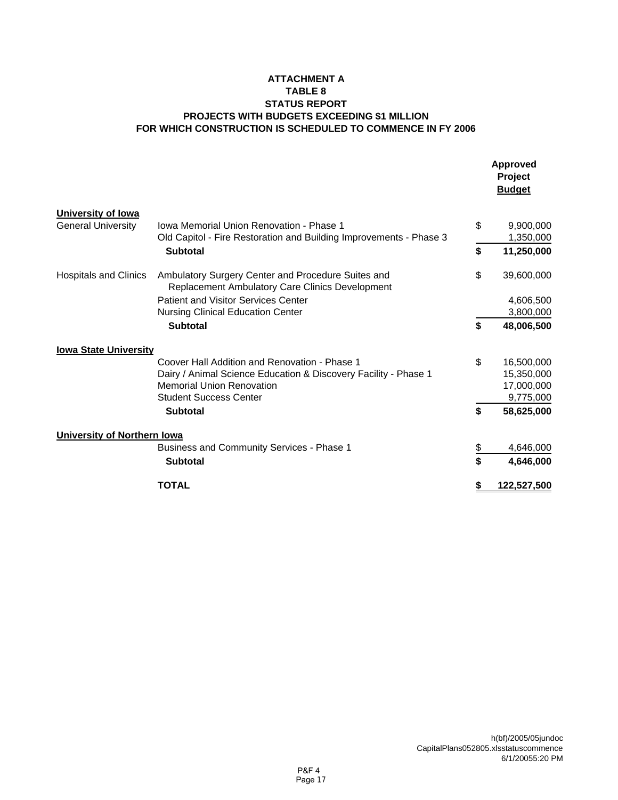## **ATTACHMENT A FOR WHICH CONSTRUCTION IS SCHEDULED TO COMMENCE IN FY 2006 TABLE 8 STATUS REPORT PROJECTS WITH BUDGETS EXCEEDING \$1 MILLION**

|                                    |                                                                                                                |           | <b>Approved</b><br>Project<br><b>Budget</b> |
|------------------------------------|----------------------------------------------------------------------------------------------------------------|-----------|---------------------------------------------|
| <b>University of lowa</b>          |                                                                                                                |           |                                             |
| <b>General University</b>          | Iowa Memorial Union Renovation - Phase 1<br>Old Capitol - Fire Restoration and Building Improvements - Phase 3 | \$        | 9,900,000<br>1,350,000                      |
|                                    | <b>Subtotal</b>                                                                                                | \$        | 11,250,000                                  |
| <b>Hospitals and Clinics</b>       | Ambulatory Surgery Center and Procedure Suites and<br>Replacement Ambulatory Care Clinics Development          | \$        | 39,600,000                                  |
|                                    | <b>Patient and Visitor Services Center</b>                                                                     |           | 4,606,500                                   |
|                                    | Nursing Clinical Education Center                                                                              |           | 3,800,000                                   |
|                                    | <b>Subtotal</b>                                                                                                | \$        | 48,006,500                                  |
| <b>lowa State University</b>       |                                                                                                                |           |                                             |
|                                    | Coover Hall Addition and Renovation - Phase 1                                                                  | \$        | 16,500,000                                  |
|                                    | Dairy / Animal Science Education & Discovery Facility - Phase 1                                                |           | 15,350,000                                  |
|                                    | <b>Memorial Union Renovation</b>                                                                               |           | 17,000,000                                  |
|                                    | <b>Student Success Center</b>                                                                                  |           | 9,775,000                                   |
|                                    | <b>Subtotal</b>                                                                                                | \$        | 58,625,000                                  |
| <b>University of Northern lowa</b> |                                                                                                                |           |                                             |
|                                    | <b>Business and Community Services - Phase 1</b>                                                               | <u>\$</u> | 4,646,000                                   |
|                                    | <b>Subtotal</b>                                                                                                | \$        | 4,646,000                                   |
|                                    | <b>TOTAL</b>                                                                                                   | \$        | 122,527,500                                 |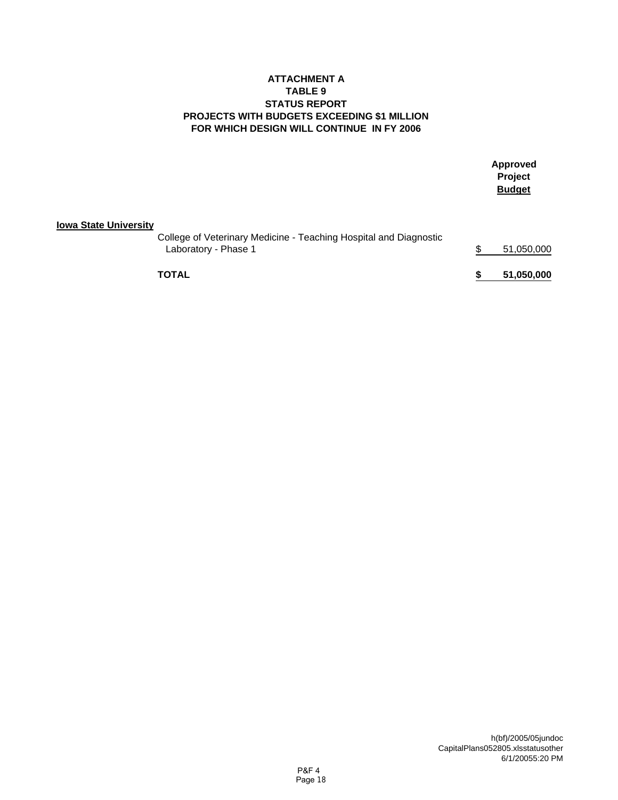## **ATTACHMENT A FOR WHICH DESIGN WILL CONTINUE IN FY 2006 TABLE 9 STATUS REPORT PROJECTS WITH BUDGETS EXCEEDING \$1 MILLION**

|                              |                                                                                           | Approved<br>Project<br><b>Budget</b> |
|------------------------------|-------------------------------------------------------------------------------------------|--------------------------------------|
| <b>Iowa State University</b> | College of Veterinary Medicine - Teaching Hospital and Diagnostic<br>Laboratory - Phase 1 | 51,050,000                           |
|                              | TOTAL                                                                                     | 51,050,000                           |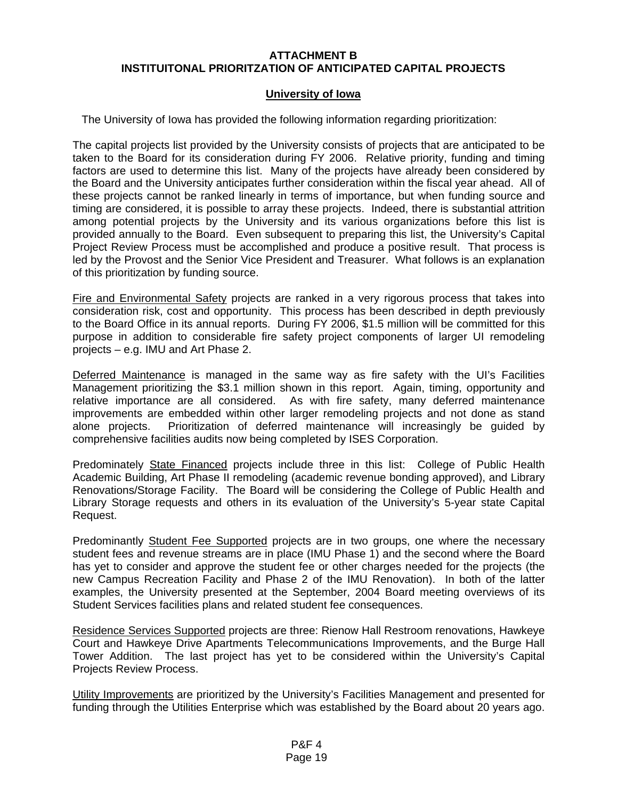## **ATTACHMENT B INSTITUITONAL PRIORITZATION OF ANTICIPATED CAPITAL PROJECTS**

## **University of Iowa**

The University of Iowa has provided the following information regarding prioritization:

The capital projects list provided by the University consists of projects that are anticipated to be taken to the Board for its consideration during FY 2006. Relative priority, funding and timing factors are used to determine this list. Many of the projects have already been considered by the Board and the University anticipates further consideration within the fiscal year ahead. All of these projects cannot be ranked linearly in terms of importance, but when funding source and timing are considered, it is possible to array these projects. Indeed, there is substantial attrition among potential projects by the University and its various organizations before this list is provided annually to the Board. Even subsequent to preparing this list, the University's Capital Project Review Process must be accomplished and produce a positive result. That process is led by the Provost and the Senior Vice President and Treasurer. What follows is an explanation of this prioritization by funding source.

Fire and Environmental Safety projects are ranked in a very rigorous process that takes into consideration risk, cost and opportunity. This process has been described in depth previously to the Board Office in its annual reports. During FY 2006, \$1.5 million will be committed for this purpose in addition to considerable fire safety project components of larger UI remodeling projects – e.g. IMU and Art Phase 2.

Deferred Maintenance is managed in the same way as fire safety with the UI's Facilities Management prioritizing the \$3.1 million shown in this report. Again, timing, opportunity and relative importance are all considered. As with fire safety, many deferred maintenance improvements are embedded within other larger remodeling projects and not done as stand alone projects. Prioritization of deferred maintenance will increasingly be guided by comprehensive facilities audits now being completed by ISES Corporation.

Predominately State Financed projects include three in this list: College of Public Health Academic Building, Art Phase II remodeling (academic revenue bonding approved), and Library Renovations/Storage Facility. The Board will be considering the College of Public Health and Library Storage requests and others in its evaluation of the University's 5-year state Capital Request.

Predominantly Student Fee Supported projects are in two groups, one where the necessary student fees and revenue streams are in place (IMU Phase 1) and the second where the Board has yet to consider and approve the student fee or other charges needed for the projects (the new Campus Recreation Facility and Phase 2 of the IMU Renovation). In both of the latter examples, the University presented at the September, 2004 Board meeting overviews of its Student Services facilities plans and related student fee consequences.

Residence Services Supported projects are three: Rienow Hall Restroom renovations, Hawkeye Court and Hawkeye Drive Apartments Telecommunications Improvements, and the Burge Hall Tower Addition. The last project has yet to be considered within the University's Capital Projects Review Process.

Utility Improvements are prioritized by the University's Facilities Management and presented for funding through the Utilities Enterprise which was established by the Board about 20 years ago.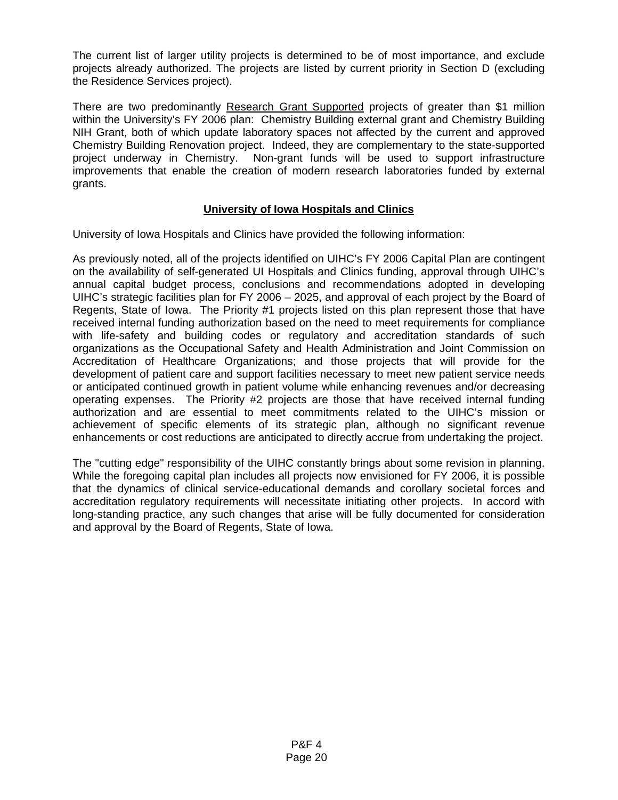The current list of larger utility projects is determined to be of most importance, and exclude projects already authorized. The projects are listed by current priority in Section D (excluding the Residence Services project).

There are two predominantly Research Grant Supported projects of greater than \$1 million within the University's FY 2006 plan: Chemistry Building external grant and Chemistry Building NIH Grant, both of which update laboratory spaces not affected by the current and approved Chemistry Building Renovation project. Indeed, they are complementary to the state-supported project underway in Chemistry. Non-grant funds will be used to support infrastructure improvements that enable the creation of modern research laboratories funded by external grants.

# **University of Iowa Hospitals and Clinics**

University of Iowa Hospitals and Clinics have provided the following information:

As previously noted, all of the projects identified on UIHC's FY 2006 Capital Plan are contingent on the availability of self-generated UI Hospitals and Clinics funding, approval through UIHC's annual capital budget process, conclusions and recommendations adopted in developing UIHC's strategic facilities plan for FY 2006 – 2025, and approval of each project by the Board of Regents, State of Iowa. The Priority #1 projects listed on this plan represent those that have received internal funding authorization based on the need to meet requirements for compliance with life-safety and building codes or regulatory and accreditation standards of such organizations as the Occupational Safety and Health Administration and Joint Commission on Accreditation of Healthcare Organizations; and those projects that will provide for the development of patient care and support facilities necessary to meet new patient service needs or anticipated continued growth in patient volume while enhancing revenues and/or decreasing operating expenses. The Priority #2 projects are those that have received internal funding authorization and are essential to meet commitments related to the UIHC's mission or achievement of specific elements of its strategic plan, although no significant revenue enhancements or cost reductions are anticipated to directly accrue from undertaking the project.

The "cutting edge" responsibility of the UIHC constantly brings about some revision in planning. While the foregoing capital plan includes all projects now envisioned for FY 2006, it is possible that the dynamics of clinical service-educational demands and corollary societal forces and accreditation regulatory requirements will necessitate initiating other projects. In accord with long-standing practice, any such changes that arise will be fully documented for consideration and approval by the Board of Regents, State of Iowa.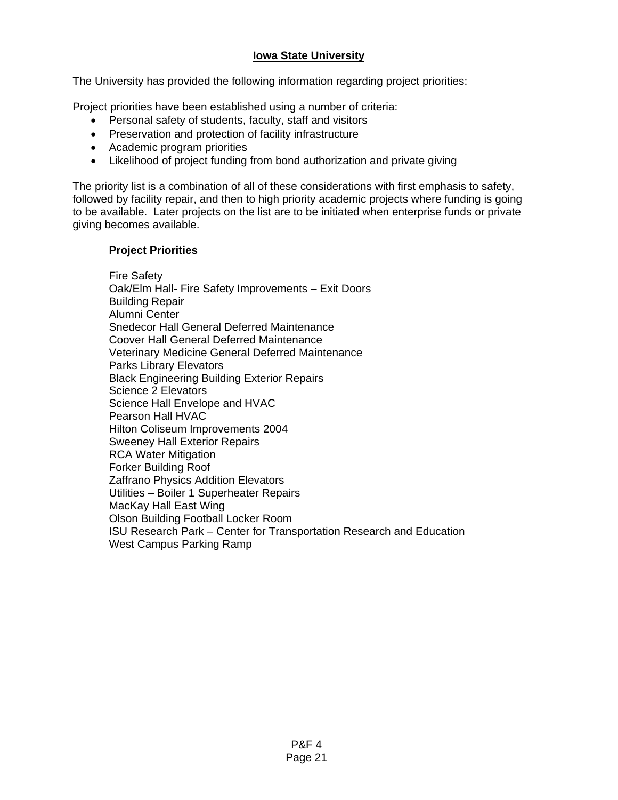# **Iowa State University**

The University has provided the following information regarding project priorities:

Project priorities have been established using a number of criteria:

- Personal safety of students, faculty, staff and visitors
- Preservation and protection of facility infrastructure
- Academic program priorities
- Likelihood of project funding from bond authorization and private giving

The priority list is a combination of all of these considerations with first emphasis to safety, followed by facility repair, and then to high priority academic projects where funding is going to be available. Later projects on the list are to be initiated when enterprise funds or private giving becomes available.

# **Project Priorities**

Fire Safety Oak/Elm Hall- Fire Safety Improvements – Exit Doors Building Repair Alumni Center Snedecor Hall General Deferred Maintenance Coover Hall General Deferred Maintenance Veterinary Medicine General Deferred Maintenance Parks Library Elevators Black Engineering Building Exterior Repairs Science 2 Elevators Science Hall Envelope and HVAC Pearson Hall HVAC Hilton Coliseum Improvements 2004 Sweeney Hall Exterior Repairs RCA Water Mitigation Forker Building Roof Zaffrano Physics Addition Elevators Utilities – Boiler 1 Superheater Repairs MacKay Hall East Wing Olson Building Football Locker Room ISU Research Park – Center for Transportation Research and Education West Campus Parking Ramp